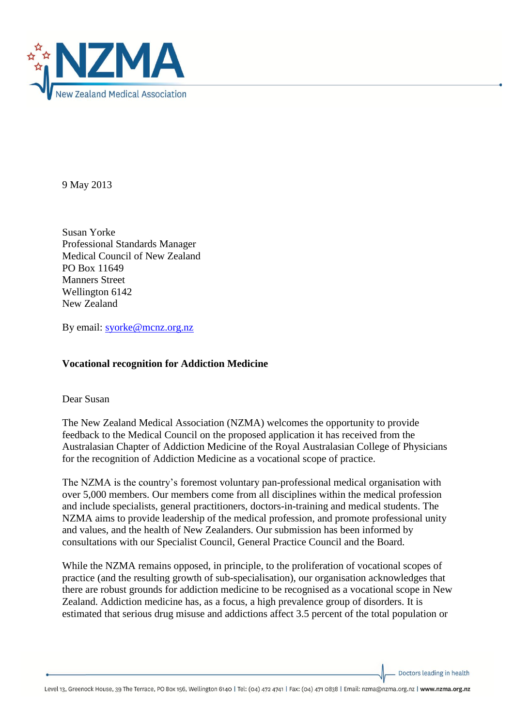

9 May 2013

Susan Yorke Professional Standards Manager Medical Council of New Zealand PO Box 11649 Manners Street Wellington 6142 New Zealand

By email: [syorke@mcnz.org.nz](mailto:syorke@mcnz.org.nz)

## **Vocational recognition for Addiction Medicine**

Dear Susan

The New Zealand Medical Association (NZMA) welcomes the opportunity to provide feedback to the Medical Council on the proposed application it has received from the Australasian Chapter of Addiction Medicine of the Royal Australasian College of Physicians for the recognition of Addiction Medicine as a vocational scope of practice.

The NZMA is the country's foremost voluntary pan-professional medical organisation with over 5,000 members. Our members come from all disciplines within the medical profession and include specialists, general practitioners, doctors-in-training and medical students. The NZMA aims to provide leadership of the medical profession, and promote professional unity and values, and the health of New Zealanders. Our submission has been informed by consultations with our Specialist Council, General Practice Council and the Board.

While the NZMA remains opposed, in principle, to the proliferation of vocational scopes of practice (and the resulting growth of sub-specialisation), our organisation acknowledges that there are robust grounds for addiction medicine to be recognised as a vocational scope in New Zealand. Addiction medicine has, as a focus, a high prevalence group of disorders. It is estimated that serious drug misuse and addictions affect 3.5 percent of the total population or

Doctors leading in health